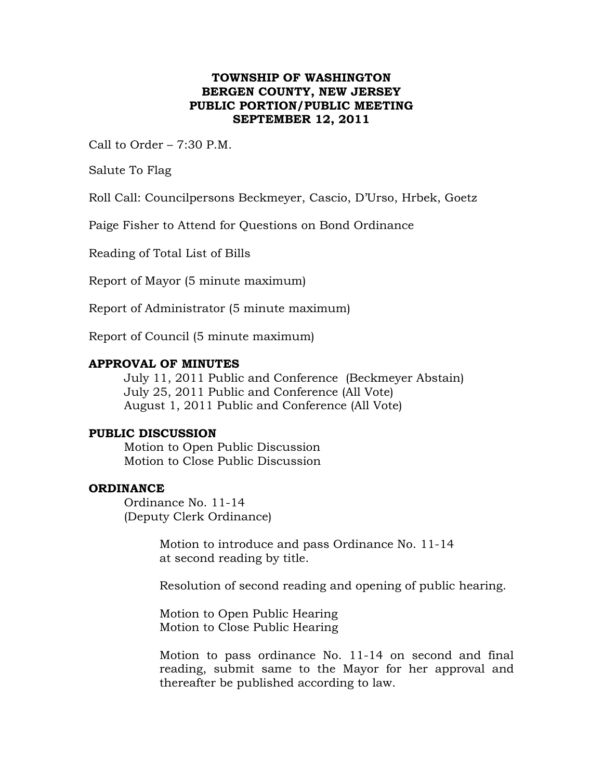# **TOWNSHIP OF WASHINGTON BERGEN COUNTY, NEW JERSEY PUBLIC PORTION/PUBLIC MEETING SEPTEMBER 12, 2011**

Call to Order  $-7:30$  P.M.

Salute To Flag

Roll Call: Councilpersons Beckmeyer, Cascio, D'Urso, Hrbek, Goetz

Paige Fisher to Attend for Questions on Bond Ordinance

Reading of Total List of Bills

Report of Mayor (5 minute maximum)

Report of Administrator (5 minute maximum)

Report of Council (5 minute maximum)

## **APPROVAL OF MINUTES**

July 11, 2011 Public and Conference (Beckmeyer Abstain) July 25, 2011 Public and Conference (All Vote) August 1, 2011 Public and Conference (All Vote)

#### **PUBLIC DISCUSSION**

Motion to Open Public Discussion Motion to Close Public Discussion

#### **ORDINANCE**

Ordinance No. 11-14 (Deputy Clerk Ordinance)

> Motion to introduce and pass Ordinance No. 11-14 at second reading by title.

Resolution of second reading and opening of public hearing.

Motion to Open Public Hearing Motion to Close Public Hearing

Motion to pass ordinance No. 11-14 on second and final reading, submit same to the Mayor for her approval and thereafter be published according to law.